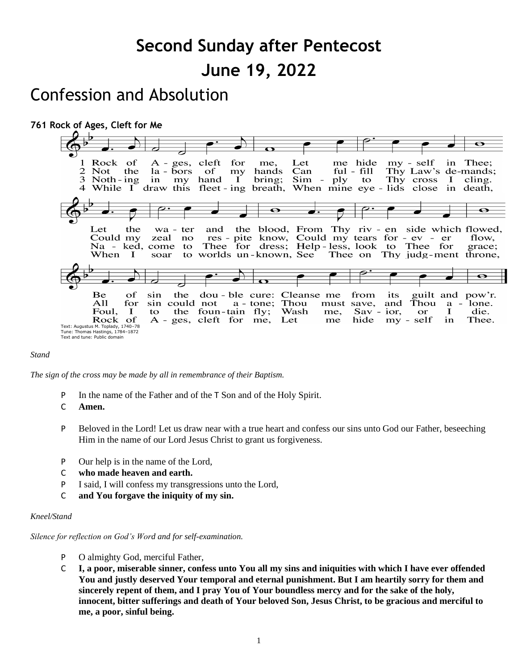# **Second Sunday after Pentecost June 19, 2022**

## Confession and Absolution



#### *Stand*

*The sign of the cross may be made by all in remembrance of their Baptism.*

P In the name of the Father and of the T Son and of the Holy Spirit.

C **Amen.**

- P Beloved in the Lord! Let us draw near with a true heart and confess our sins unto God our Father, beseeching Him in the name of our Lord Jesus Christ to grant us forgiveness.
- P Our help is in the name of the Lord,
- C **who made heaven and earth.**
- P I said, I will confess my transgressions unto the Lord,
- C **and You forgave the iniquity of my sin.**

#### *Kneel/Stand*

*Silence for reflection on God's Word and for self-examination.*

- P O almighty God, merciful Father,
- C **I, a poor, miserable sinner, confess unto You all my sins and iniquities with which I have ever offended You and justly deserved Your temporal and eternal punishment. But I am heartily sorry for them and sincerely repent of them, and I pray You of Your boundless mercy and for the sake of the holy, innocent, bitter sufferings and death of Your beloved Son, Jesus Christ, to be gracious and merciful to me, a poor, sinful being.**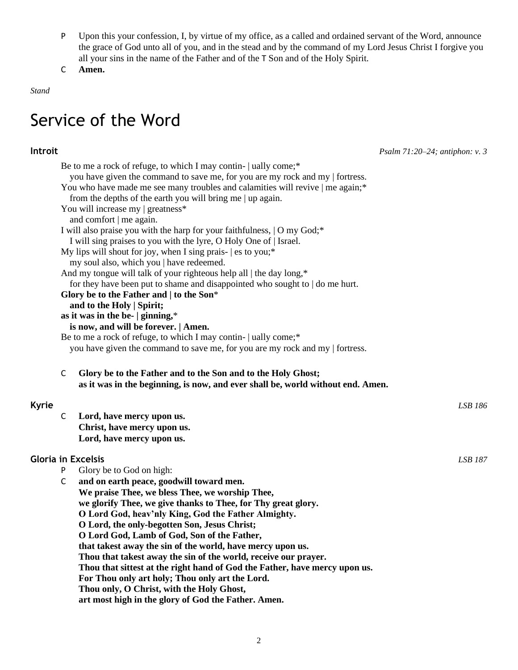- P Upon this your confession, I, by virtue of my office, as a called and ordained servant of the Word, announce the grace of God unto all of you, and in the stead and by the command of my Lord Jesus Christ I forgive you all your sins in the name of the Father and of the T Son and of the Holy Spirit.
- C **Amen.**

*Stand*

## Service of the Word

**Introit** *Psalm 71:20–24; antiphon: v. 3*

|       |   | Be to me a rock of refuge, to which I may contin-   ually come;*<br>you have given the command to save me, for you are my rock and my   fortress. |                |  |
|-------|---|---------------------------------------------------------------------------------------------------------------------------------------------------|----------------|--|
|       |   | You who have made me see many troubles and calamities will revive   me again;*                                                                    |                |  |
|       |   | from the depths of the earth you will bring me   up again.                                                                                        |                |  |
|       |   | You will increase my   greatness*                                                                                                                 |                |  |
|       |   | and comfort   me again.                                                                                                                           |                |  |
|       |   | I will also praise you with the harp for your faithfulness,   O my God;*                                                                          |                |  |
|       |   | I will sing praises to you with the lyre, O Holy One of   Israel.                                                                                 |                |  |
|       |   | My lips will shout for joy, when I sing prais- $ $ es to you;*                                                                                    |                |  |
|       |   | my soul also, which you   have redeemed.                                                                                                          |                |  |
|       |   | And my tongue will talk of your righteous help all   the day long,*                                                                               |                |  |
|       |   | for they have been put to shame and disappointed who sought to   do me hurt.                                                                      |                |  |
|       |   | Glory be to the Father and $ $ to the Son*                                                                                                        |                |  |
|       |   | and to the Holy   Spirit;                                                                                                                         |                |  |
|       |   | as it was in the be-   ginning,*                                                                                                                  | LSB 186        |  |
|       |   | is now, and will be forever.   Amen.                                                                                                              |                |  |
|       |   | Be to me a rock of refuge, to which I may contin-   ually come;*                                                                                  |                |  |
|       |   | you have given the command to save me, for you are my rock and my   fortress.                                                                     |                |  |
|       |   |                                                                                                                                                   |                |  |
|       | C | Glory be to the Father and to the Son and to the Holy Ghost;                                                                                      |                |  |
|       |   | as it was in the beginning, is now, and ever shall be, world without end. Amen.                                                                   |                |  |
| Kyrie |   |                                                                                                                                                   |                |  |
|       | C | Lord, have mercy upon us.                                                                                                                         |                |  |
|       |   | Christ, have mercy upon us.                                                                                                                       |                |  |
|       |   | Lord, have mercy upon us.                                                                                                                         |                |  |
|       |   |                                                                                                                                                   |                |  |
|       |   | <b>Gloria in Excelsis</b>                                                                                                                         | <b>LSB 187</b> |  |
|       | P | Glory be to God on high:                                                                                                                          |                |  |
|       | C | and on earth peace, goodwill toward men.                                                                                                          |                |  |
|       |   | We praise Thee, we bless Thee, we worship Thee,                                                                                                   |                |  |
|       |   | we glorify Thee, we give thanks to Thee, for Thy great glory.                                                                                     |                |  |
|       |   | O Lord God, heav'nly King, God the Father Almighty.                                                                                               |                |  |
|       |   | O Lord, the only-begotten Son, Jesus Christ;                                                                                                      |                |  |
|       |   | O Lord God, Lamb of God, Son of the Father,                                                                                                       |                |  |
|       |   | that takest away the sin of the world, have mercy upon us.                                                                                        |                |  |
|       |   | Thou that takest away the sin of the world, receive our prayer.                                                                                   |                |  |
|       |   | Thou that sittest at the right hand of God the Father, have mercy upon us.                                                                        |                |  |
|       |   | For Thou only art holy; Thou only art the Lord.                                                                                                   |                |  |
|       |   | Thou only, O Christ, with the Holy Ghost,                                                                                                         |                |  |
|       |   | art most high in the glory of God the Father. Amen.                                                                                               |                |  |
|       |   |                                                                                                                                                   |                |  |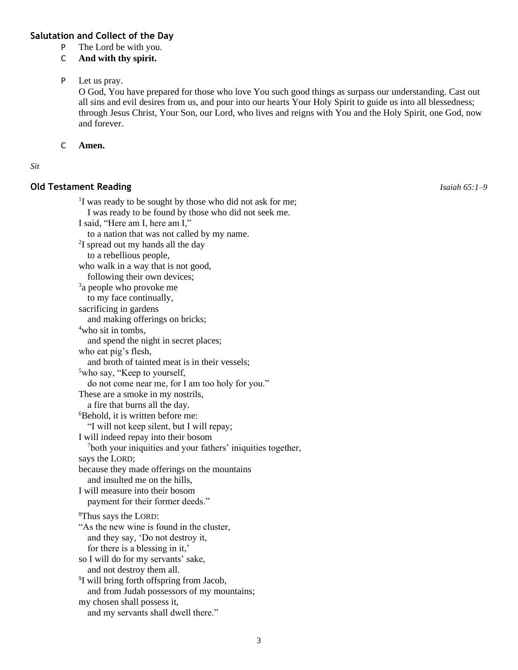#### **Salutation and Collect of the Day**

- P The Lord be with you.
- C **And with thy spirit.**

#### P Let us pray.

O God, You have prepared for those who love You such good things as surpass our understanding. Cast out all sins and evil desires from us, and pour into our hearts Your Holy Spirit to guide us into all blessedness; through Jesus Christ, Your Son, our Lord, who lives and reigns with You and the Holy Spirit, one God, now and forever.

#### C **Amen.**

#### *Sit*

#### **Old Testament Reading** *Isaiah 65:1–9*

<sup>1</sup>I was ready to be sought by those who did not ask for me; I was ready to be found by those who did not seek me. I said, "Here am I, here am I," to a nation that was not called by my name. <sup>2</sup>I spread out my hands all the day to a rebellious people, who walk in a way that is not good, following their own devices; <sup>3</sup>a people who provoke me to my face continually, sacrificing in gardens and making offerings on bricks; <sup>4</sup>who sit in tombs, and spend the night in secret places; who eat pig's flesh, and broth of tainted meat is in their vessels; <sup>5</sup>who say, "Keep to yourself, do not come near me, for I am too holy for you." These are a smoke in my nostrils, a fire that burns all the day. <sup>6</sup>Behold, it is written before me: "I will not keep silent, but I will repay; I will indeed repay into their bosom <sup>7</sup>both your iniquities and your fathers' iniquities together, says the LORD; because they made offerings on the mountains and insulted me on the hills, I will measure into their bosom payment for their former deeds." <sup>8</sup>Thus says the LORD: "As the new wine is found in the cluster, and they say, 'Do not destroy it, for there is a blessing in it,' so I will do for my servants' sake, and not destroy them all. <sup>9</sup>I will bring forth offspring from Jacob, and from Judah possessors of my mountains; my chosen shall possess it, and my servants shall dwell there."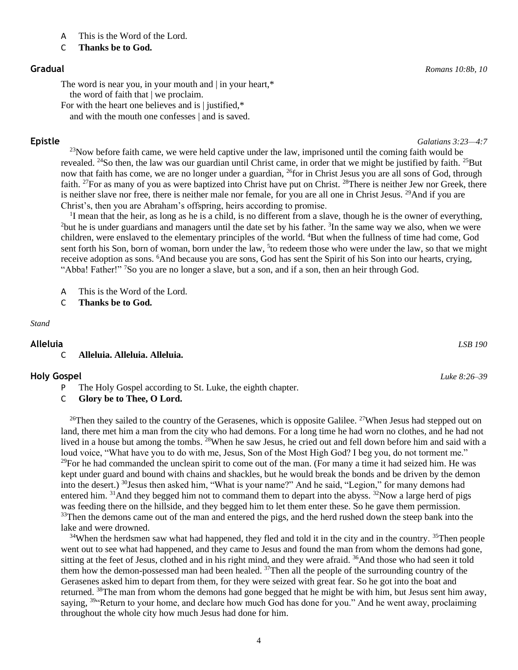#### **Epistle** *Galatians 3:23—4:7*

 $23$ Now before faith came, we were held captive under the law, imprisoned until the coming faith would be revealed. <sup>24</sup>So then, the law was our guardian until Christ came, in order that we might be justified by faith. <sup>25</sup>But now that faith has come, we are no longer under a guardian, <sup>26</sup>for in Christ Jesus you are all sons of God, through faith. <sup>27</sup>For as many of you as were baptized into Christ have put on Christ. <sup>28</sup>There is neither Jew nor Greek, there is neither slave nor free, there is neither male nor female, for you are all one in Christ Jesus. <sup>29</sup>And if you are Christ's, then you are Abraham's offspring, heirs according to promise.

<sup>1</sup>I mean that the heir, as long as he is a child, is no different from a slave, though he is the owner of everything, <sup>2</sup>but he is under guardians and managers until the date set by his father.  $3$ In the same way we also, when we were children, were enslaved to the elementary principles of the world. <sup>4</sup>But when the fullness of time had come, God sent forth his Son, born of woman, born under the law, <sup>5</sup> to redeem those who were under the law, so that we might receive adoption as sons. <sup>6</sup>And because you are sons, God has sent the Spirit of his Son into our hearts, crying, "Abba! Father!" <sup>7</sup>So you are no longer a slave, but a son, and if a son, then an heir through God.

- A This is the Word of the Lord.
- C **Thanks be to God.**

#### *Stand*

#### **Alleluia** *LSB 190*

#### C **Alleluia. Alleluia. Alleluia.**

#### **Holy Gospel** *Luke 8:26–39*

- P The Holy Gospel according to St. Luke, the eighth chapter.
- C **Glory be to Thee, O Lord.**

<sup>26</sup>Then they sailed to the country of the Gerasenes, which is opposite Galilee. <sup>27</sup>When Jesus had stepped out on land, there met him a man from the city who had demons. For a long time he had worn no clothes, and he had not lived in a house but among the tombs. <sup>28</sup>When he saw Jesus, he cried out and fell down before him and said with a loud voice, "What have you to do with me, Jesus, Son of the Most High God? I beg you, do not torment me."  $^{29}$ For he had commanded the unclean spirit to come out of the man. (For many a time it had seized him. He was kept under guard and bound with chains and shackles, but he would break the bonds and be driven by the demon into the desert.) <sup>30</sup>Jesus then asked him, "What is your name?" And he said, "Legion," for many demons had entered him.  $31$ And they begged him not to command them to depart into the abyss.  $32$ Now a large herd of pigs was feeding there on the hillside, and they begged him to let them enter these. So he gave them permission. <sup>33</sup>Then the demons came out of the man and entered the pigs, and the herd rushed down the steep bank into the lake and were drowned.

 $34$ When the herdsmen saw what had happened, they fled and told it in the city and in the country.  $35$ Then people went out to see what had happened, and they came to Jesus and found the man from whom the demons had gone, sitting at the feet of Jesus, clothed and in his right mind, and they were afraid. <sup>36</sup>And those who had seen it told them how the demon-possessed man had been healed. <sup>37</sup>Then all the people of the surrounding country of the Gerasenes asked him to depart from them, for they were seized with great fear. So he got into the boat and returned. <sup>38</sup>The man from whom the demons had gone begged that he might be with him, but Jesus sent him away, saying, <sup>39"</sup>Return to your home, and declare how much God has done for you." And he went away, proclaiming throughout the whole city how much Jesus had done for him.

4

C **Thanks be to God.**

#### **Gradual** *Romans 10:8b, 10*

The word is near you, in your mouth and | in your heart,\* the word of faith that | we proclaim.

For with the heart one believes and is | justified,\*

and with the mouth one confesses | and is saved.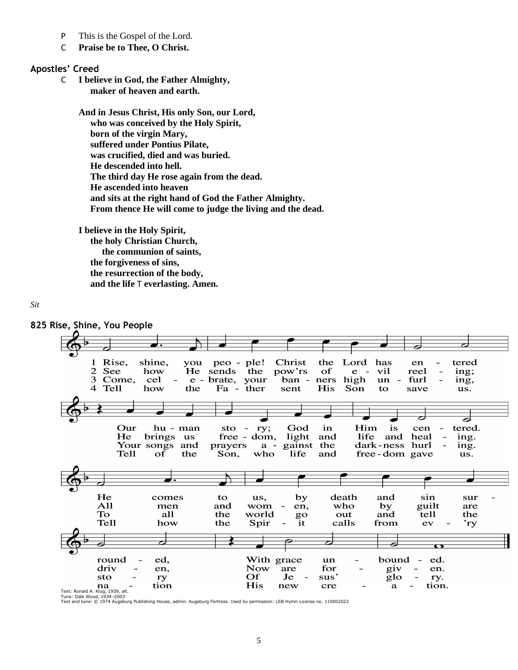- P This is the Gospel of the Lord.
- C **Praise be to Thee, O Christ.**

#### **Apostles' Creed**

C **I believe in God, the Father Almighty, maker of heaven and earth.**

> **And in Jesus Christ, His only Son, our Lord, who was conceived by the Holy Spirit, born of the virgin Mary, suffered under Pontius Pilate, was crucified, died and was buried. He descended into hell. The third day He rose again from the dead. He ascended into heaven and sits at the right hand of God the Father Almighty. From thence He will come to judge the living and the dead.**

**I believe in the Holy Spirit, the holy Christian Church, the communion of saints, the forgiveness of sins, the resurrection of the body, and the life** T **everlasting. Amen.**

#### *Sit*



Text and tune: © 1974 Augsburg Publishing House, admin. Augsburg Fortress. Used by permission: LSB Hymn License no. 110002022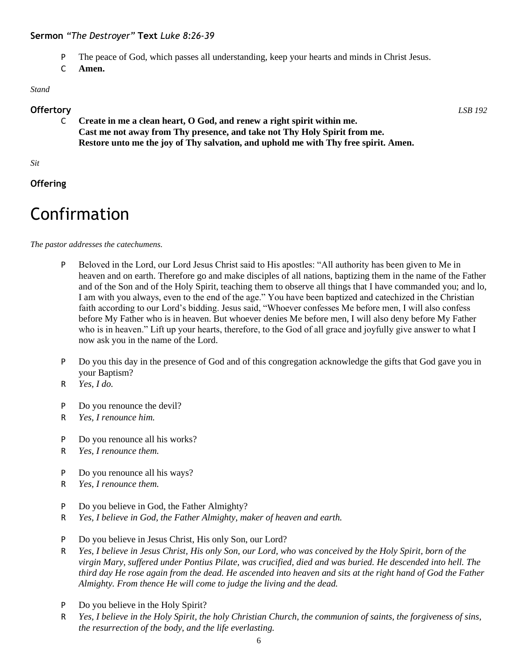#### **Sermon** *"The Destroyer"* **Text** *Luke 8:26-39*

- P The peace of God, which passes all understanding, keep your hearts and minds in Christ Jesus.
- C **Amen.**

#### *Stand*

#### **Offertory** *LSB 192*

C **Create in me a clean heart, O God, and renew a right spirit within me. Cast me not away from Thy presence, and take not Thy Holy Spirit from me. Restore unto me the joy of Thy salvation, and uphold me with Thy free spirit. Amen.**

*Sit*

**Offering**

## Confirmation

*The pastor addresses the catechumens.*

- P Beloved in the Lord, our Lord Jesus Christ said to His apostles: "All authority has been given to Me in heaven and on earth. Therefore go and make disciples of all nations, baptizing them in the name of the Father and of the Son and of the Holy Spirit, teaching them to observe all things that I have commanded you; and lo, I am with you always, even to the end of the age." You have been baptized and catechized in the Christian faith according to our Lord's bidding. Jesus said, "Whoever confesses Me before men, I will also confess before My Father who is in heaven. But whoever denies Me before men, I will also deny before My Father who is in heaven." Lift up your hearts, therefore, to the God of all grace and joyfully give answer to what I now ask you in the name of the Lord.
- P Do you this day in the presence of God and of this congregation acknowledge the gifts that God gave you in your Baptism?
- R *Yes, I do.*
- P Do you renounce the devil?
- R *Yes, I renounce him.*
- P Do you renounce all his works?
- R *Yes, I renounce them.*
- P Do you renounce all his ways?
- R *Yes, I renounce them.*
- P Do you believe in God, the Father Almighty?
- R *Yes, I believe in God, the Father Almighty, maker of heaven and earth.*
- P Do you believe in Jesus Christ, His only Son, our Lord?
- R *Yes, I believe in Jesus Christ, His only Son, our Lord, who was conceived by the Holy Spirit, born of the virgin Mary, suffered under Pontius Pilate, was crucified, died and was buried. He descended into hell. The third day He rose again from the dead. He ascended into heaven and sits at the right hand of God the Father Almighty. From thence He will come to judge the living and the dead.*
- P Do you believe in the Holy Spirit?
- R *Yes, I believe in the Holy Spirit, the holy Christian Church, the communion of saints, the forgiveness of sins, the resurrection of the body, and the life everlasting.*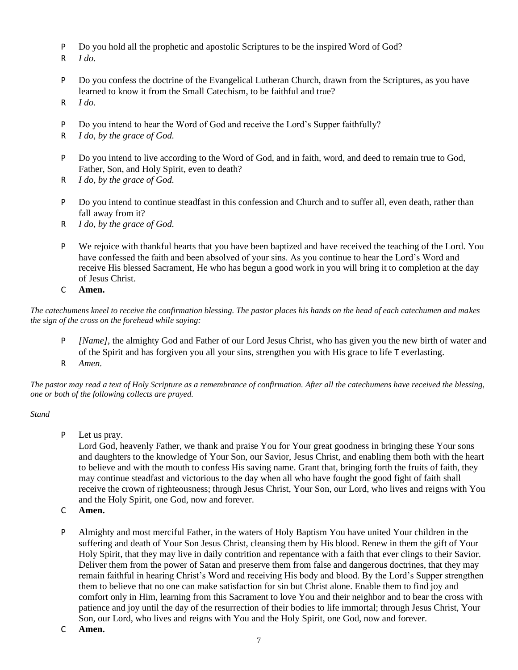- P Do you hold all the prophetic and apostolic Scriptures to be the inspired Word of God?
- R *I do.*
- P Do you confess the doctrine of the Evangelical Lutheran Church, drawn from the Scriptures, as you have learned to know it from the Small Catechism, to be faithful and true?
- R *I do.*
- P Do you intend to hear the Word of God and receive the Lord's Supper faithfully?
- R *I do, by the grace of God.*
- P Do you intend to live according to the Word of God, and in faith, word, and deed to remain true to God, Father, Son, and Holy Spirit, even to death?
- R *I do, by the grace of God.*
- P Do you intend to continue steadfast in this confession and Church and to suffer all, even death, rather than fall away from it?
- R *I do, by the grace of God.*
- P We rejoice with thankful hearts that you have been baptized and have received the teaching of the Lord. You have confessed the faith and been absolved of your sins. As you continue to hear the Lord's Word and receive His blessed Sacrament, He who has begun a good work in you will bring it to completion at the day of Jesus Christ.
- C **Amen.**

*The catechumens kneel to receive the confirmation blessing. The pastor places his hands on the head of each catechumen and makes the sign of the cross on the forehead while saying:*

- P *[Name]*, the almighty God and Father of our Lord Jesus Christ, who has given you the new birth of water and of the Spirit and has forgiven you all your sins, strengthen you with His grace to life T everlasting.
- R *Amen.*

*The pastor may read a text of Holy Scripture as a remembrance of confirmation. After all the catechumens have received the blessing, one or both of the following collects are prayed.*

#### *Stand*

P Let us pray.

Lord God, heavenly Father, we thank and praise You for Your great goodness in bringing these Your sons and daughters to the knowledge of Your Son, our Savior, Jesus Christ, and enabling them both with the heart to believe and with the mouth to confess His saving name. Grant that, bringing forth the fruits of faith, they may continue steadfast and victorious to the day when all who have fought the good fight of faith shall receive the crown of righteousness; through Jesus Christ, Your Son, our Lord, who lives and reigns with You and the Holy Spirit, one God, now and forever.

- C **Amen.**
- P Almighty and most merciful Father, in the waters of Holy Baptism You have united Your children in the suffering and death of Your Son Jesus Christ, cleansing them by His blood. Renew in them the gift of Your Holy Spirit, that they may live in daily contrition and repentance with a faith that ever clings to their Savior. Deliver them from the power of Satan and preserve them from false and dangerous doctrines, that they may remain faithful in hearing Christ's Word and receiving His body and blood. By the Lord's Supper strengthen them to believe that no one can make satisfaction for sin but Christ alone. Enable them to find joy and comfort only in Him, learning from this Sacrament to love You and their neighbor and to bear the cross with patience and joy until the day of the resurrection of their bodies to life immortal; through Jesus Christ, Your Son, our Lord, who lives and reigns with You and the Holy Spirit, one God, now and forever.
- C **Amen.**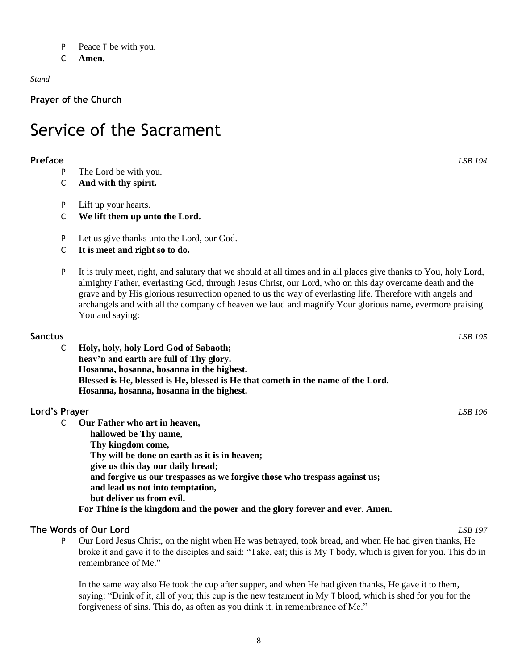- P Peace T be with you.
- C **Amen.**

#### *Stand*

**Prayer of the Church**

## Service of the Sacrament

#### **Preface** *LSB 194*

- P The Lord be with you.
- C **And with thy spirit.**
- P Lift up your hearts.
- C **We lift them up unto the Lord.**
- P Let us give thanks unto the Lord, our God.
- C **It is meet and right so to do.**
- P It is truly meet, right, and salutary that we should at all times and in all places give thanks to You, holy Lord, almighty Father, everlasting God, through Jesus Christ, our Lord, who on this day overcame death and the grave and by His glorious resurrection opened to us the way of everlasting life. Therefore with angels and archangels and with all the company of heaven we laud and magnify Your glorious name, evermore praising You and saying:

#### **Sanctus** *LSB 195*

C **Holy, holy, holy Lord God of Sabaoth; heav'n and earth are full of Thy glory. Hosanna, hosanna, hosanna in the highest. Blessed is He, blessed is He, blessed is He that cometh in the name of the Lord. Hosanna, hosanna, hosanna in the highest.**

#### **Lord's Prayer** *LSB 196*

- C **Our Father who art in heaven,**
	- **hallowed be Thy name,**
	- **Thy kingdom come, Thy will be done on earth as it is in heaven;**
	- **give us this day our daily bread;**
	- **and forgive us our trespasses as we forgive those who trespass against us;**
	- **and lead us not into temptation,**
	- **but deliver us from evil.**

**For Thine is the kingdom and the power and the glory forever and ever. Amen.**

#### **The Words of Our Lord** *LSB 197*

P Our Lord Jesus Christ, on the night when He was betrayed, took bread, and when He had given thanks, He broke it and gave it to the disciples and said: "Take, eat; this is My T body, which is given for you. This do in remembrance of Me."

In the same way also He took the cup after supper, and when He had given thanks, He gave it to them, saying: "Drink of it, all of you; this cup is the new testament in My T blood, which is shed for you for the forgiveness of sins. This do, as often as you drink it, in remembrance of Me."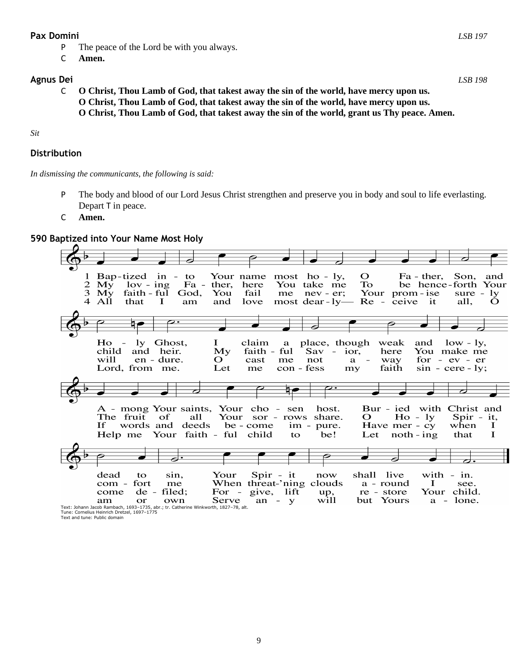#### **Pax Domini** *LSB 197*

- P The peace of the Lord be with you always.
- C **Amen.**

#### **Agnus Dei** *LSB 198*

C **O Christ, Thou Lamb of God, that takest away the sin of the world, have mercy upon us. O Christ, Thou Lamb of God, that takest away the sin of the world, have mercy upon us. O Christ, Thou Lamb of God, that takest away the sin of the world, grant us Thy peace. Amen.**

#### *Sit*

#### **Distribution**

*In dismissing the communicants, the following is said:*

- P The body and blood of our Lord Jesus Christ strengthen and preserve you in body and soul to life everlasting. Depart T in peace.
- C **Amen.**

#### **590 Baptized into Your Name Most Holy**

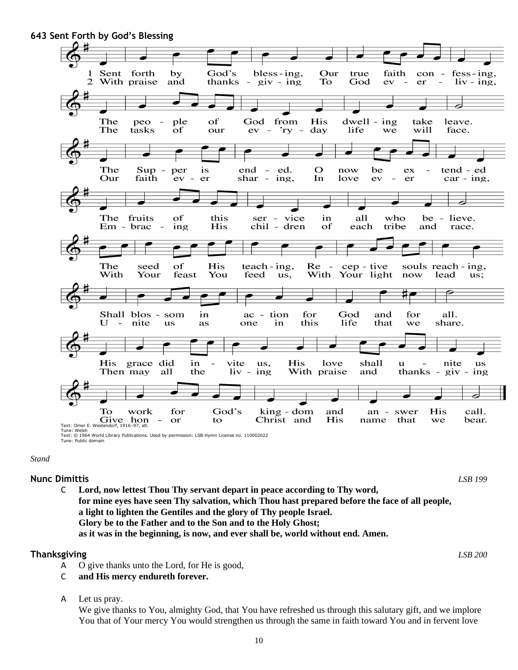

Tune: Public domain

#### *Stand*

### **Nunc Dimittis** *LSB 199*

C **Lord, now lettest Thou Thy servant depart in peace according to Thy word, for mine eyes have seen Thy salvation, which Thou hast prepared before the face of all people, a light to lighten the Gentiles and the glory of Thy people Israel. Glory be to the Father and to the Son and to the Holy Ghost; as it was in the beginning, is now, and ever shall be, world without end. Amen.**

#### **Thanksgiving** *LSB 200*

- A O give thanks unto the Lord, for He is good,
- C **and His mercy endureth forever.**
- A Let us pray.

We give thanks to You, almighty God, that You have refreshed us through this salutary gift, and we implore You that of Your mercy You would strengthen us through the same in faith toward You and in fervent love